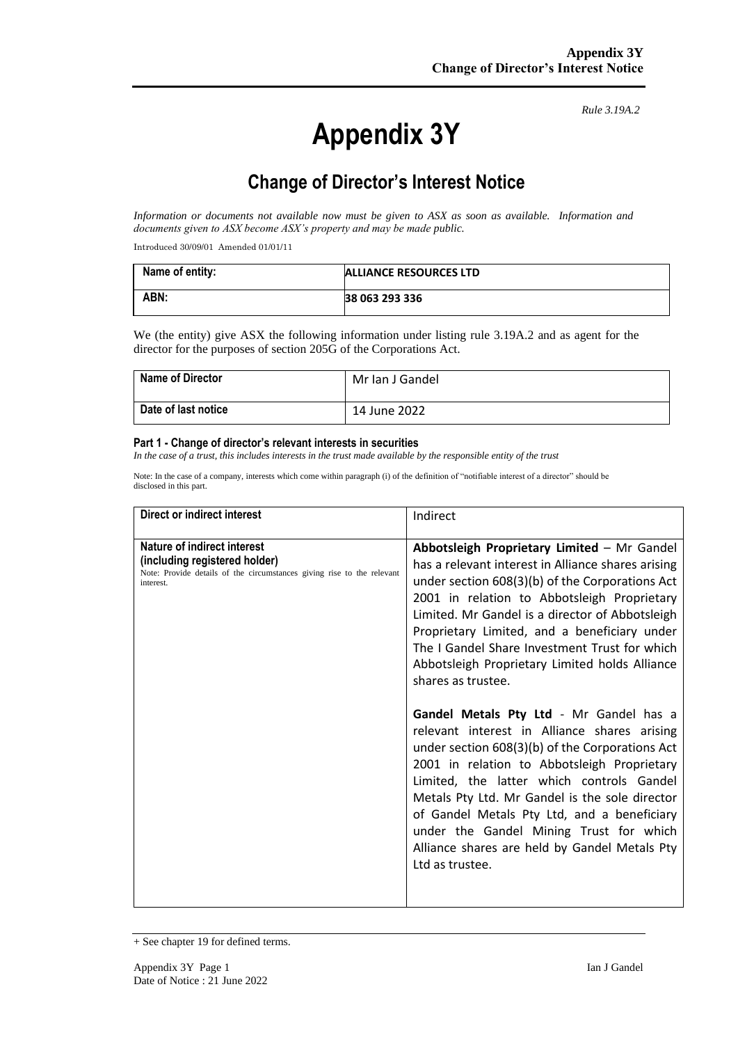# **Appendix 3Y**

*Rule 3.19A.2*

# **Change of Director's Interest Notice**

*Information or documents not available now must be given to ASX as soon as available. Information and documents given to ASX become ASX's property and may be made public.*

Introduced 30/09/01 Amended 01/01/11

| Name of entity: | ALLIANCE RESOURCES LTD |
|-----------------|------------------------|
| ABN:            | 38 063 293 336         |

We (the entity) give ASX the following information under listing rule 3.19A.2 and as agent for the director for the purposes of section 205G of the Corporations Act.

| <b>Name of Director</b> | Mr Ian J Gandel |
|-------------------------|-----------------|
| Date of last notice     | 14 June 2022    |

#### **Part 1 - Change of director's relevant interests in securities**

*In the case of a trust, this includes interests in the trust made available by the responsible entity of the trust*

Note: In the case of a company, interests which come within paragraph (i) of the definition of "notifiable interest of a director" should be disclosed in this part.

| Direct or indirect interest                                                                                                                         | Indirect                                                                                                                                                                                                                                                                                                                                                                                                                                                                                                                                                                                                                                                                                                                                                                                                                                                                                  |
|-----------------------------------------------------------------------------------------------------------------------------------------------------|-------------------------------------------------------------------------------------------------------------------------------------------------------------------------------------------------------------------------------------------------------------------------------------------------------------------------------------------------------------------------------------------------------------------------------------------------------------------------------------------------------------------------------------------------------------------------------------------------------------------------------------------------------------------------------------------------------------------------------------------------------------------------------------------------------------------------------------------------------------------------------------------|
| Nature of indirect interest<br>(including registered holder)<br>Note: Provide details of the circumstances giving rise to the relevant<br>interest. | Abbotsleigh Proprietary Limited - Mr Gandel<br>has a relevant interest in Alliance shares arising<br>under section 608(3)(b) of the Corporations Act<br>2001 in relation to Abbotsleigh Proprietary<br>Limited. Mr Gandel is a director of Abbotsleigh<br>Proprietary Limited, and a beneficiary under<br>The I Gandel Share Investment Trust for which<br>Abbotsleigh Proprietary Limited holds Alliance<br>shares as trustee.<br>Gandel Metals Pty Ltd - Mr Gandel has a<br>relevant interest in Alliance shares arising<br>under section 608(3)(b) of the Corporations Act<br>2001 in relation to Abbotsleigh Proprietary<br>Limited, the latter which controls Gandel<br>Metals Pty Ltd. Mr Gandel is the sole director<br>of Gandel Metals Pty Ltd, and a beneficiary<br>under the Gandel Mining Trust for which<br>Alliance shares are held by Gandel Metals Pty<br>Ltd as trustee. |

<sup>+</sup> See chapter 19 for defined terms.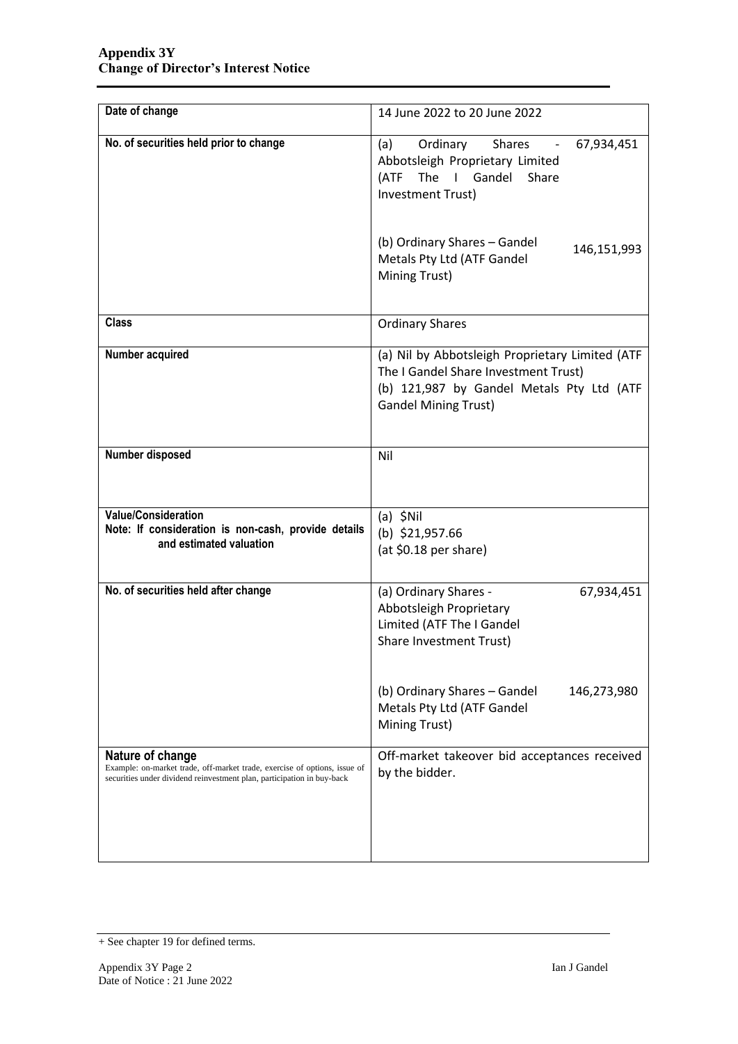| Date of change                                                                                                                                                          | 14 June 2022 to 20 June 2022                                                                                                                                        |  |
|-------------------------------------------------------------------------------------------------------------------------------------------------------------------------|---------------------------------------------------------------------------------------------------------------------------------------------------------------------|--|
| No. of securities held prior to change                                                                                                                                  | Ordinary<br><b>Shares</b><br>(a)<br>67,934,451<br>Abbotsleigh Proprietary Limited<br>The I Gandel Share<br>(ATF<br>Investment Trust)                                |  |
|                                                                                                                                                                         | (b) Ordinary Shares - Gandel<br>146,151,993<br>Metals Pty Ltd (ATF Gandel<br>Mining Trust)                                                                          |  |
| <b>Class</b>                                                                                                                                                            | <b>Ordinary Shares</b>                                                                                                                                              |  |
| Number acquired                                                                                                                                                         | (a) Nil by Abbotsleigh Proprietary Limited (ATF<br>The I Gandel Share Investment Trust)<br>(b) 121,987 by Gandel Metals Pty Ltd (ATF<br><b>Gandel Mining Trust)</b> |  |
| Number disposed                                                                                                                                                         | Nil                                                                                                                                                                 |  |
| <b>Value/Consideration</b><br>Note: If consideration is non-cash, provide details<br>and estimated valuation                                                            | $(a)$ \$Nil<br>(b) $$21,957.66$<br>(at \$0.18 per share)                                                                                                            |  |
| No. of securities held after change                                                                                                                                     | (a) Ordinary Shares -<br>67,934,451<br>Abbotsleigh Proprietary<br>Limited (ATF The I Gandel<br>Share Investment Trust)                                              |  |
|                                                                                                                                                                         | (b) Ordinary Shares - Gandel<br>146,273,980<br>Metals Pty Ltd (ATF Gandel<br>Mining Trust)                                                                          |  |
| Nature of change<br>Example: on-market trade, off-market trade, exercise of options, issue of<br>securities under dividend reinvestment plan, participation in buy-back | Off-market takeover bid acceptances received<br>by the bidder.                                                                                                      |  |

<sup>+</sup> See chapter 19 for defined terms.